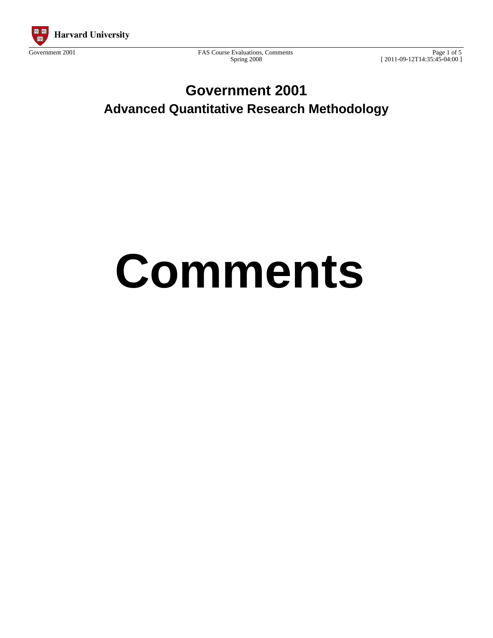

Government 2001 FAS Course Evaluations, Comments Spring 2008

Page 1 of 5 [ 2011-09-12T14:35:45-04:00 ]

## **Government 2001 Advanced Quantitative Research Methodology**

# **Comments**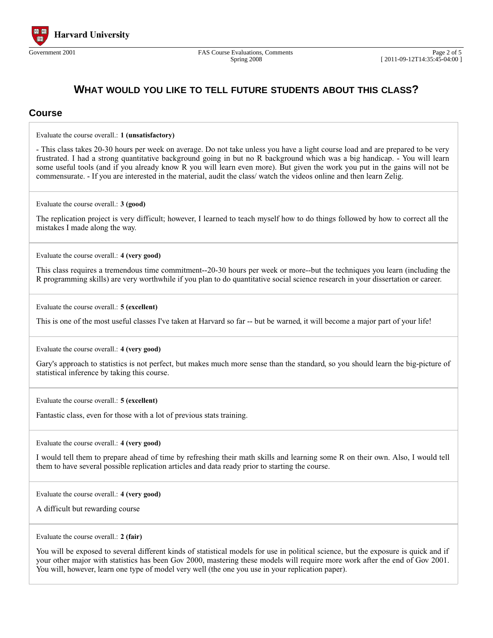

#### **WHAT WOULD YOU LIKE TO TELL FUTURE STUDENTS ABOUT THIS CLASS?**

#### **Course**

Evaluate the course overall.: **1 (unsatisfactory)**

- This class takes 20-30 hours per week on average. Do not take unless you have a light course load and are prepared to be very frustrated. I had a strong quantitative background going in but no R background which was a big handicap. - You will learn some useful tools (and if you already know R you will learn even more). But given the work you put in the gains will not be commensurate. - If you are interested in the material, audit the class/ watch the videos online and then learn Zelig.

Evaluate the course overall.: **3 (good)**

The replication project is very difficult; however, I learned to teach myself how to do things followed by how to correct all the mistakes I made along the way.

Evaluate the course overall.: **4 (very good)**

This class requires a tremendous time commitment--20-30 hours per week or more--but the techniques you learn (including the R programming skills) are very worthwhile if you plan to do quantitative social science research in your dissertation or career.

Evaluate the course overall.: **5 (excellent)**

This is one of the most useful classes I've taken at Harvard so far -- but be warned, it will become a major part of your life!

Evaluate the course overall.: **4 (very good)**

Gary's approach to statistics is not perfect, but makes much more sense than the standard, so you should learn the big-picture of statistical inference by taking this course.

Evaluate the course overall.: **5 (excellent)**

Fantastic class, even for those with a lot of previous stats training.

Evaluate the course overall.: **4 (very good)**

I would tell them to prepare ahead of time by refreshing their math skills and learning some R on their own. Also, I would tell them to have several possible replication articles and data ready prior to starting the course.

Evaluate the course overall.: **4 (very good)**

A difficult but rewarding course

Evaluate the course overall.: **2 (fair)**

You will be exposed to several different kinds of statistical models for use in political science, but the exposure is quick and if your other major with statistics has been Gov 2000, mastering these models will require more work after the end of Gov 2001. You will, however, learn one type of model very well (the one you use in your replication paper).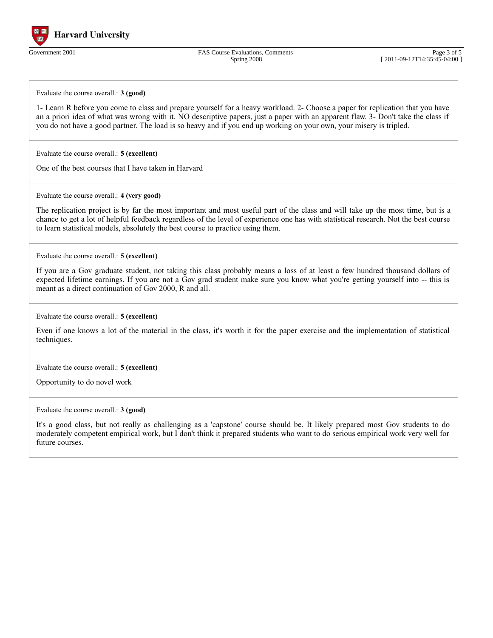

Government 2001 FAS Course Evaluations, Comments Spring 2008

Page 3 of 5 [ 2011-09-12T14:35:45-04:00 ]

Evaluate the course overall.: **3 (good)**

1- Learn R before you come to class and prepare yourself for a heavy workload. 2- Choose a paper for replication that you have an a priori idea of what was wrong with it. NO descriptive papers, just a paper with an apparent flaw. 3- Don't take the class if you do not have a good partner. The load is so heavy and if you end up working on your own, your misery is tripled.

Evaluate the course overall.: **5 (excellent)**

One of the best courses that I have taken in Harvard

Evaluate the course overall.: **4 (very good)**

The replication project is by far the most important and most useful part of the class and will take up the most time, but is a chance to get a lot of helpful feedback regardless of the level of experience one has with statistical research. Not the best course to learn statistical models, absolutely the best course to practice using them.

Evaluate the course overall.: **5 (excellent)**

If you are a Gov graduate student, not taking this class probably means a loss of at least a few hundred thousand dollars of expected lifetime earnings. If you are not a Gov grad student make sure you know what you're getting yourself into -- this is meant as a direct continuation of Gov 2000, R and all.

Evaluate the course overall.: **5 (excellent)**

Even if one knows a lot of the material in the class, it's worth it for the paper exercise and the implementation of statistical techniques.

Evaluate the course overall.: **5 (excellent)**

Opportunity to do novel work

Evaluate the course overall.: **3 (good)**

It's a good class, but not really as challenging as a 'capstone' course should be. It likely prepared most Gov students to do moderately competent empirical work, but I don't think it prepared students who want to do serious empirical work very well for future courses.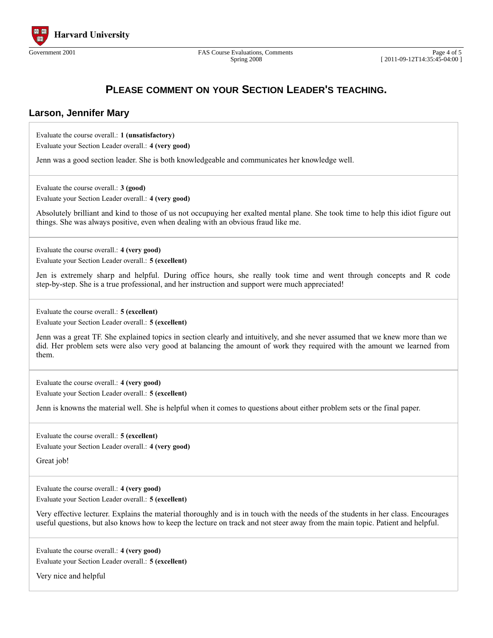

Spring 2008

### **PLEASE COMMENT ON YOUR SECTION LEADER'S TEACHING.**

#### **Larson, Jennifer Mary**

Evaluate the course overall.: **1 (unsatisfactory)** Evaluate your Section Leader overall.: **4 (very good)**

Jenn was a good section leader. She is both knowledgeable and communicates her knowledge well.

Evaluate the course overall.: **3 (good)**

Evaluate your Section Leader overall.: **4 (very good)**

Absolutely brilliant and kind to those of us not occupuying her exalted mental plane. She took time to help this idiot figure out things. She was always positive, even when dealing with an obvious fraud like me.

Evaluate the course overall.: **4 (very good)** Evaluate your Section Leader overall.: **5 (excellent)**

Jen is extremely sharp and helpful. During office hours, she really took time and went through concepts and R code step-by-step. She is a true professional, and her instruction and support were much appreciated!

Evaluate the course overall.: **5 (excellent)**

Evaluate your Section Leader overall.: **5 (excellent)**

Jenn was a great TF. She explained topics in section clearly and intuitively, and she never assumed that we knew more than we did. Her problem sets were also very good at balancing the amount of work they required with the amount we learned from them.

Evaluate the course overall.: **4 (very good)** Evaluate your Section Leader overall.: **5 (excellent)**

Jenn is knowns the material well. She is helpful when it comes to questions about either problem sets or the final paper.

Evaluate the course overall.: **5 (excellent)** Evaluate your Section Leader overall.: **4 (very good)**

Great job!

Evaluate the course overall.: **4 (very good)** Evaluate your Section Leader overall.: **5 (excellent)**

Very effective lecturer. Explains the material thoroughly and is in touch with the needs of the students in her class. Encourages useful questions, but also knows how to keep the lecture on track and not steer away from the main topic. Patient and helpful.

Evaluate the course overall.: **4 (very good)** Evaluate your Section Leader overall.: **5 (excellent)**

Very nice and helpful